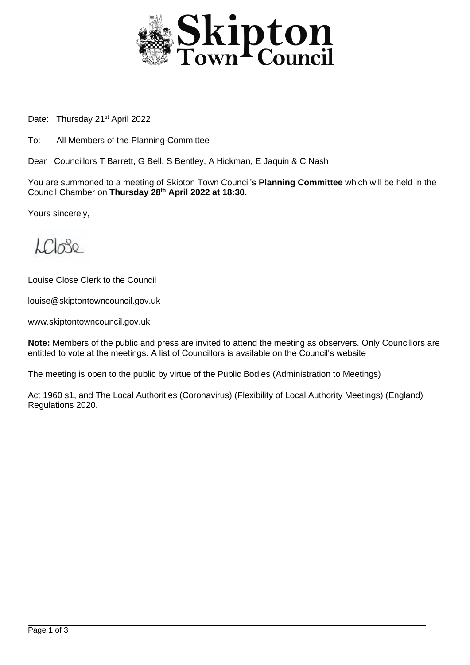

Date: Thursday 21<sup>st</sup> April 2022

To: All Members of the Planning Committee

Dear Councillors T Barrett, G Bell, S Bentley, A Hickman, E Jaquin & C Nash

You are summoned to a meeting of Skipton Town Council's **Planning Committee** which will be held in the Council Chamber on **Thursday 28th April 2022 at 18:30.**

Yours sincerely,

 $\mathcal{L}\mathcal{C}$ 

Louise Close Clerk to the Council

louise@skiptontowncouncil.gov.uk

www.skiptontowncouncil.gov.uk

**Note:** Members of the public and press are invited to attend the meeting as observers. Only Councillors are entitled to vote at the meetings. A list of Councillors is available on the Council's website

The meeting is open to the public by virtue of the Public Bodies (Administration to Meetings)

Act 1960 s1, and The Local Authorities (Coronavirus) (Flexibility of Local Authority Meetings) (England) Regulations 2020.

j.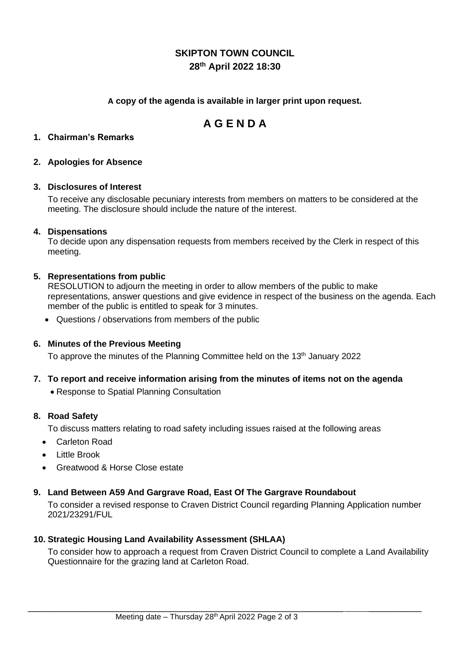# **SKIPTON TOWN COUNCIL 28th April 2022 18:30**

# **A copy of the agenda is available in larger print upon request.**

# **A G E N D A**

#### **1. Chairman's Remarks**

### **2. Apologies for Absence**

#### **3. Disclosures of Interest**

To receive any disclosable pecuniary interests from members on matters to be considered at the meeting. The disclosure should include the nature of the interest.

#### **4. Dispensations**

To decide upon any dispensation requests from members received by the Clerk in respect of this meeting.

#### **5. Representations from public**

RESOLUTION to adjourn the meeting in order to allow members of the public to make representations, answer questions and give evidence in respect of the business on the agenda. Each member of the public is entitled to speak for 3 minutes.

• Questions / observations from members of the public

#### **6. Minutes of the Previous Meeting**

To approve the minutes of the Planning Committee held on the  $13<sup>th</sup>$  January 2022

- **7. To report and receive information arising from the minutes of items not on the agenda**
	- Response to Spatial Planning Consultation

#### **8. Road Safety**

To discuss matters relating to road safety including issues raised at the following areas

- Carleton Road
- Little Brook
- Greatwood & Horse Close estate

#### **9. Land Between A59 And Gargrave Road, East Of The Gargrave Roundabout**

To consider a revised response to Craven District Council regarding Planning Application number 2021/23291/FUL

#### **10. Strategic Housing Land Availability Assessment (SHLAA)**

To consider how to approach a request from Craven District Council to complete a Land Availability Questionnaire for the grazing land at Carleton Road.

\_\_\_\_\_\_\_\_\_\_\_\_\_\_\_\_\_\_\_\_\_\_\_\_\_\_\_\_\_\_\_\_\_\_\_\_\_\_\_\_\_\_\_\_\_\_\_\_\_\_\_\_\_\_\_\_\_\_\_\_ \_\_\_\_\_\_\_\_\_\_